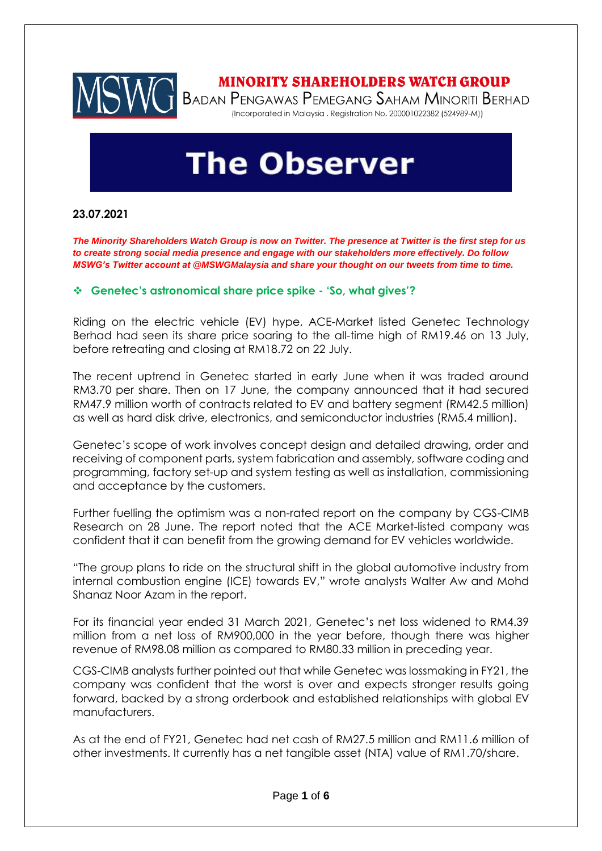

# **The Observer**

## **23.07.2021**

*The Minority Shareholders Watch Group is now on Twitter. The presence at Twitter is the first step for us to create strong social media presence and engage with our stakeholders more effectively. Do follow MSWG's Twitter account at @MSWGMalaysia and share your thought on our tweets from time to time.*

#### ❖ **Genetec's astronomical share price spike - 'So, what gives'?**

Riding on the electric vehicle (EV) hype, ACE-Market listed Genetec Technology Berhad had seen its share price soaring to the all-time high of RM19.46 on 13 July, before retreating and closing at RM18.72 on 22 July.

The recent uptrend in Genetec started in early June when it was traded around RM3.70 per share. Then on 17 June, the company announced that it had secured RM47.9 million worth of contracts related to EV and battery segment (RM42.5 million) as well as hard disk drive, electronics, and semiconductor industries (RM5.4 million).

Genetec's scope of work involves concept design and detailed drawing, order and receiving of component parts, system fabrication and assembly, software coding and programming, factory set-up and system testing as well as installation, commissioning and acceptance by the customers.

Further fuelling the optimism was a non-rated report on the company by CGS-CIMB Research on 28 June. The report noted that the ACE Market-listed company was confident that it can benefit from the growing demand for EV vehicles worldwide.

"The group plans to ride on the structural shift in the global automotive industry from internal combustion engine (ICE) towards EV," wrote analysts Walter Aw and Mohd Shanaz Noor Azam in the report.

For its financial year ended 31 March 2021, Genetec's net loss widened to RM4.39 million from a net loss of RM900,000 in the year before, though there was higher revenue of RM98.08 million as compared to RM80.33 million in preceding year.

CGS-CIMB analysts further pointed out that while Genetec was lossmaking in FY21, the company was confident that the worst is over and expects stronger results going forward, backed by a strong orderbook and established relationships with global EV manufacturers.

As at the end of FY21, Genetec had net cash of RM27.5 million and RM11.6 million of other investments. It currently has a net tangible asset (NTA) value of RM1.70/share.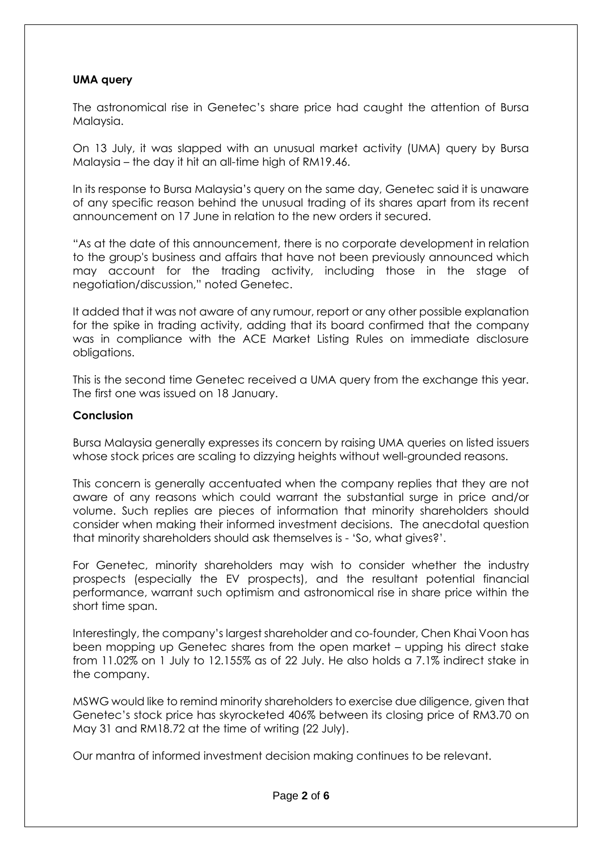### **UMA query**

The astronomical rise in Genetec's share price had caught the attention of Bursa Malaysia.

On 13 July, it was slapped with an unusual market activity (UMA) query by Bursa Malaysia – the day it hit an all-time high of RM19.46.

In its response to Bursa Malaysia's query on the same day, Genetec said it is unaware of any specific reason behind the unusual trading of its shares apart from its recent announcement on 17 June in relation to the new orders it secured.

"As at the date of this announcement, there is no corporate development in relation to the group's business and affairs that have not been previously announced which may account for the trading activity, including those in the stage of negotiation/discussion," noted Genetec.

It added that it was not aware of any rumour, report or any other possible explanation for the spike in trading activity, adding that its board confirmed that the company was in compliance with the ACE Market Listing Rules on immediate disclosure obligations.

This is the second time Genetec received a UMA query from the exchange this year. The first one was issued on 18 January.

#### **Conclusion**

Bursa Malaysia generally expresses its concern by raising UMA queries on listed issuers whose stock prices are scaling to dizzying heights without well-grounded reasons.

This concern is generally accentuated when the company replies that they are not aware of any reasons which could warrant the substantial surge in price and/or volume. Such replies are pieces of information that minority shareholders should consider when making their informed investment decisions. The anecdotal question that minority shareholders should ask themselves is - 'So, what gives?'.

For Genetec, minority shareholders may wish to consider whether the industry prospects (especially the EV prospects), and the resultant potential financial performance, warrant such optimism and astronomical rise in share price within the short time span.

Interestingly, the company's largest shareholder and co-founder, Chen Khai Voon has been mopping up Genetec shares from the open market – upping his direct stake from 11.02% on 1 July to 12.155% as of 22 July. He also holds a 7.1% indirect stake in the company.

MSWG would like to remind minority shareholders to exercise due diligence, given that Genetec's stock price has skyrocketed 406% between its closing price of RM3.70 on May 31 and RM18.72 at the time of writing (22 July).

Our mantra of informed investment decision making continues to be relevant.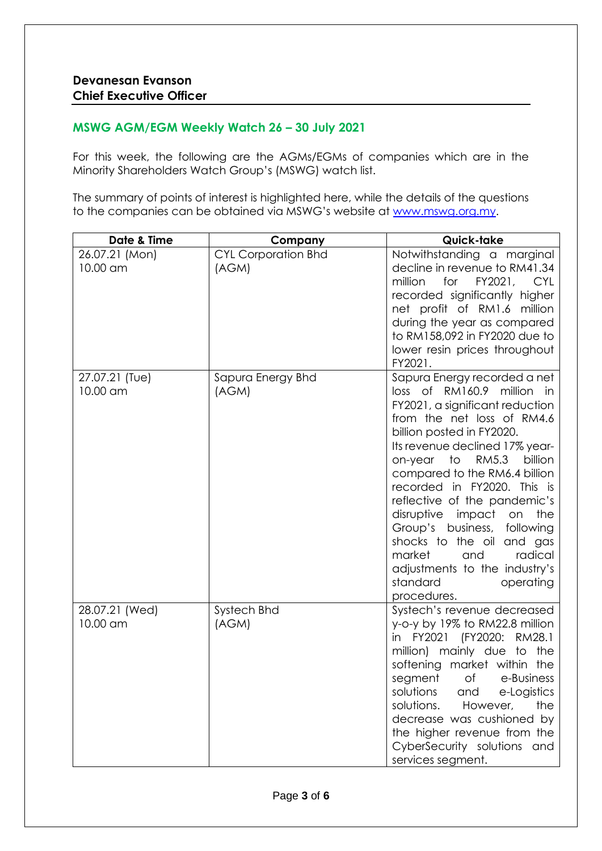## **MSWG AGM/EGM Weekly Watch 26 – 30 July 2021**

For this week, the following are the AGMs/EGMs of companies which are in the Minority Shareholders Watch Group's (MSWG) watch list.

The summary of points of interest is highlighted here, while the details of the questions to the companies can be obtained via MSWG's website at [www.mswg.org.my.](http://www.mswg.org.my/)

| Date & Time                | Company                             | Quick-take                                                                                                                                                                                                                                                                                                                                                                                                                                                                                                                                     |
|----------------------------|-------------------------------------|------------------------------------------------------------------------------------------------------------------------------------------------------------------------------------------------------------------------------------------------------------------------------------------------------------------------------------------------------------------------------------------------------------------------------------------------------------------------------------------------------------------------------------------------|
| 26.07.21 (Mon)<br>10.00 am | <b>CYL Corporation Bhd</b><br>(AGM) | Notwithstanding a marginal<br>decline in revenue to RM41.34<br>FY2021,<br>million<br>for<br><b>CYL</b><br>recorded significantly higher<br>net profit of RM1.6 million<br>during the year as compared<br>to RM158,092 in FY2020 due to<br>lower resin prices throughout<br>FY2021.                                                                                                                                                                                                                                                             |
| 27.07.21 (Tue)<br>10.00 am | Sapura Energy Bhd<br>(AGM)          | Sapura Energy recorded a net<br>RM160.9 million in<br>loss of<br>FY2021, a significant reduction<br>from the net loss of RM4.6<br>billion posted in FY2020.<br>Its revenue declined 17% year-<br>to<br>RM5.3<br>billion<br>on-year<br>compared to the RM6.4 billion<br>recorded in FY2020. This is<br>reflective of the pandemic's<br>disruptive<br>impact<br>the<br>on<br>Group's business,<br>following<br>shocks to the oil<br>and gas<br>market<br>and<br>radical<br>adjustments to the industry's<br>standard<br>operating<br>procedures. |
| 28.07.21 (Wed)<br>10.00 am | Systech Bhd<br>(AGM)                | Systech's revenue decreased<br>y-o-y by 19% to RM22.8 million<br>in FY2021 (FY2020:<br>RM28.1<br>million) mainly due<br>to<br>the<br>softening market within the<br>segment<br>Оf<br>e-Business<br>solutions<br>and<br>e-Logistics<br>solutions.<br>However,<br>the<br>decrease was cushioned by<br>the higher revenue from the<br>CyberSecurity solutions and<br>services segment.                                                                                                                                                            |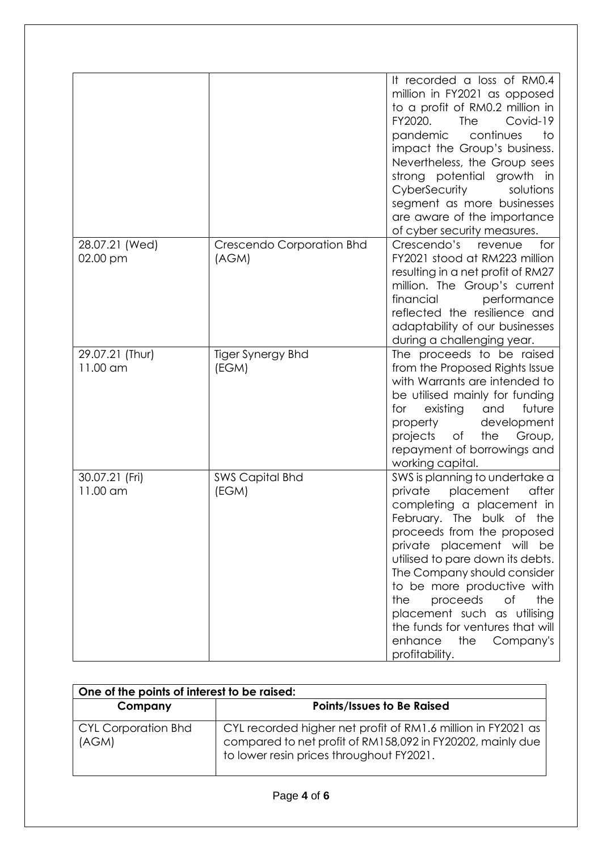|                             |                                    | It recorded a loss of RM0.4<br>million in FY2021 as opposed<br>to a profit of RM0.2 million in<br>FY2020.<br><b>The</b><br>Covid-19<br>continues<br>pandemic<br>to<br>impact the Group's business.<br>Nevertheless, the Group sees<br>strong potential growth in<br>CyberSecurity<br>solutions<br>segment as more businesses<br>are aware of the importance<br>of cyber security measures.                                                   |
|-----------------------------|------------------------------------|----------------------------------------------------------------------------------------------------------------------------------------------------------------------------------------------------------------------------------------------------------------------------------------------------------------------------------------------------------------------------------------------------------------------------------------------|
| 28.07.21 (Wed)<br>02.00 pm  | Crescendo Corporation Bhd<br>(AGM) | Crescendo's revenue<br>for<br>FY2021 stood at RM223 million<br>resulting in a net profit of RM27<br>million. The Group's current<br>financial<br>performance<br>reflected the resilience and<br>adaptability of our businesses<br>during a challenging year.                                                                                                                                                                                 |
| 29.07.21 (Thur)<br>11.00 am | Tiger Synergy Bhd<br>(EGM)         | The proceeds to be raised<br>from the Proposed Rights Issue<br>with Warrants are intended to<br>be utilised mainly for funding<br>existing<br>future<br>for<br>and<br>property<br>development<br>projects<br>the<br>of<br>Group,<br>repayment of borrowings and<br>working capital.                                                                                                                                                          |
| 30.07.21 (Fri)<br>11.00 am  | <b>SWS Capital Bhd</b><br>(EGM)    | SWS is planning to undertake a<br>private<br>placement<br>after<br>completing a placement in<br>February. The bulk of the<br>proceeds from the proposed<br>private placement will<br>be<br>utilised to pare down its debts.<br>The Company should consider<br>to be more productive with<br>proceeds<br>the<br>the<br>of<br>placement such as utilising<br>the funds for ventures that will<br>enhance<br>the<br>Company's<br>profitability. |

| One of the points of interest to be raised: |                                                                                                                                                                        |  |
|---------------------------------------------|------------------------------------------------------------------------------------------------------------------------------------------------------------------------|--|
| Company                                     | <b>Points/Issues to Be Raised</b>                                                                                                                                      |  |
| <b>CYL Corporation Bhd</b><br>(AGM)         | CYL recorded higher net profit of RM1.6 million in FY2021 as<br>compared to net profit of RM158,092 in FY20202, mainly due<br>to lower resin prices throughout FY2021. |  |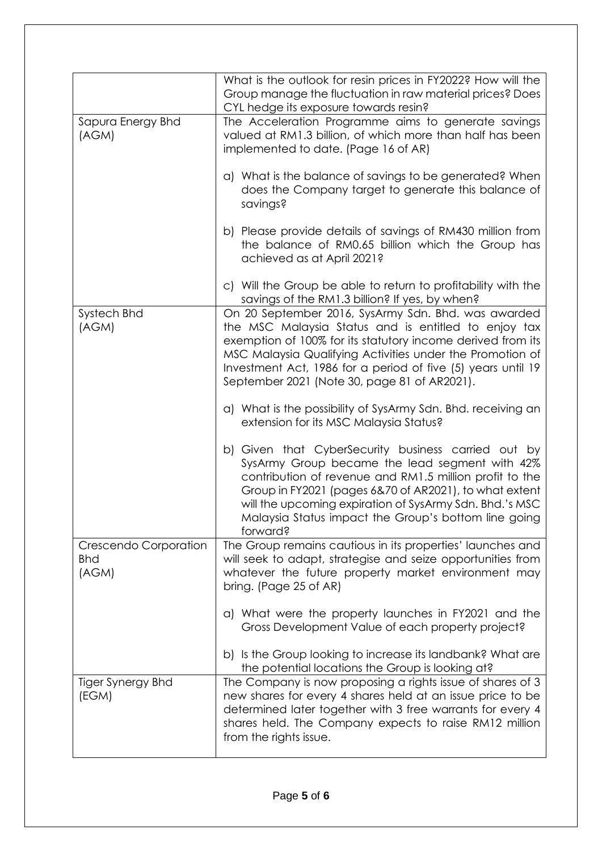|                                              | What is the outlook for resin prices in FY2022? How will the<br>Group manage the fluctuation in raw material prices? Does<br>CYL hedge its exposure towards resin?                                                                                                                                                                                        |
|----------------------------------------------|-----------------------------------------------------------------------------------------------------------------------------------------------------------------------------------------------------------------------------------------------------------------------------------------------------------------------------------------------------------|
| Sapura Energy Bhd<br>(AGM)                   | The Acceleration Programme aims to generate savings<br>valued at RM1.3 billion, of which more than half has been<br>implemented to date. (Page 16 of AR)                                                                                                                                                                                                  |
|                                              | a) What is the balance of savings to be generated? When<br>does the Company target to generate this balance of<br>savings?                                                                                                                                                                                                                                |
|                                              | b) Please provide details of savings of RM430 million from<br>the balance of RM0.65 billion which the Group has<br>achieved as at April 2021?                                                                                                                                                                                                             |
|                                              | c) Will the Group be able to return to profitability with the<br>savings of the RM1.3 billion? If yes, by when?                                                                                                                                                                                                                                           |
| Systech Bhd<br>(AGM)                         | On 20 September 2016, SysArmy Sdn. Bhd. was awarded<br>the MSC Malaysia Status and is entitled to enjoy tax<br>exemption of 100% for its statutory income derived from its<br>MSC Malaysia Qualifying Activities under the Promotion of<br>Investment Act, 1986 for a period of five (5) years until 19<br>September 2021 (Note 30, page 81 of AR2021).   |
|                                              | a) What is the possibility of SysArmy Sdn. Bhd. receiving an<br>extension for its MSC Malaysia Status?                                                                                                                                                                                                                                                    |
|                                              | b) Given that CyberSecurity business carried out by<br>SysArmy Group became the lead segment with 42%<br>contribution of revenue and RM1.5 million profit to the<br>Group in FY2021 (pages 6&70 of AR2021), to what extent<br>will the upcoming expiration of SysArmy Sdn. Bhd.'s MSC<br>Malaysia Status impact the Group's bottom line going<br>forward? |
| Crescendo Corporation<br><b>Bhd</b><br>(AGM) | The Group remains cautious in its properties' launches and<br>will seek to adapt, strategise and seize opportunities from<br>whatever the future property market environment may<br>bring. (Page 25 of AR)                                                                                                                                                |
|                                              | a) What were the property launches in FY2021 and the<br>Gross Development Value of each property project?                                                                                                                                                                                                                                                 |
|                                              | b) Is the Group looking to increase its landbank? What are<br>the potential locations the Group is looking at?                                                                                                                                                                                                                                            |
| Tiger Synergy Bhd<br>(EGM)                   | The Company is now proposing a rights issue of shares of 3<br>new shares for every 4 shares held at an issue price to be<br>determined later together with 3 free warrants for every 4<br>shares held. The Company expects to raise RM12 million<br>from the rights issue.                                                                                |